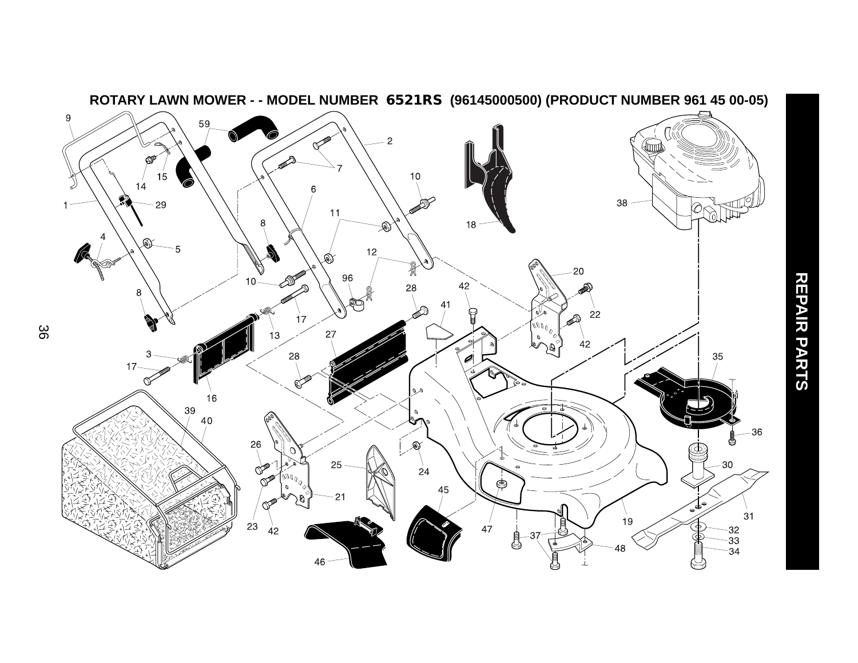

**REPAIR PARTS**

REPAIR PARTS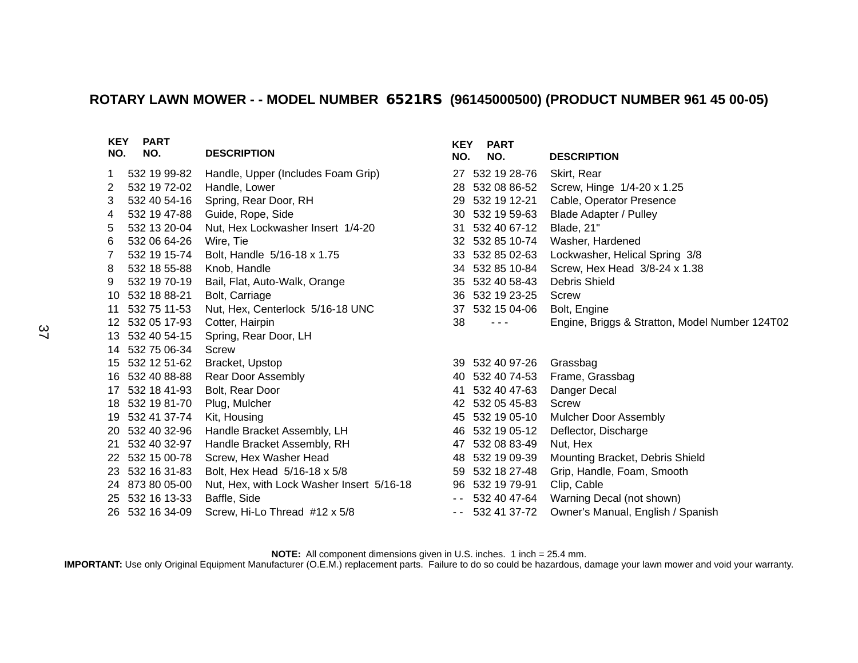## **ROTARY LAWN MOWER - - MODEL NUMBER 6521RS (96145000500) (PRODUCT NUMBER 961 45 00-05)**

| <b>KEY</b><br>NO. | <b>PART</b><br>NO. | <b>DESCRIPTION</b>                        | <b>KEY</b><br>NO. | <b>PART</b><br>NO. | <b>DESCRIPTION</b>                             |
|-------------------|--------------------|-------------------------------------------|-------------------|--------------------|------------------------------------------------|
| 1                 | 532 19 99-82       | Handle, Upper (Includes Foam Grip)        |                   | 27 532 19 28-76    | Skirt, Rear                                    |
| 2                 | 532 19 72-02       | Handle, Lower                             | 28                | 532 08 86-52       | Screw, Hinge 1/4-20 x 1.25                     |
| 3                 | 532 40 54-16       | Spring, Rear Door, RH                     | 29                | 532 19 12-21       | Cable, Operator Presence                       |
| 4                 | 532 19 47-88       | Guide, Rope, Side                         | 30                | 532 19 59-63       | <b>Blade Adapter / Pulley</b>                  |
| 5                 | 532 13 20-04       | Nut, Hex Lockwasher Insert 1/4-20         | 31                | 532 40 67-12       | Blade, 21"                                     |
| 6                 | 532 06 64-26       | Wire, Tie                                 |                   | 32 532 85 10-74    | Washer, Hardened                               |
| 7                 | 532 19 15-74       | Bolt, Handle 5/16-18 x 1.75               |                   | 33 532 85 02-63    | Lockwasher, Helical Spring 3/8                 |
| 8                 | 532 18 55-88       | Knob, Handle                              |                   | 34 532 85 10-84    | Screw, Hex Head 3/8-24 x 1.38                  |
| 9                 | 532 19 70-19       | Bail, Flat, Auto-Walk, Orange             | 35                | 532 40 58-43       | <b>Debris Shield</b>                           |
| 10                | 532 18 88-21       | Bolt, Carriage                            |                   | 36 532 19 23-25    | Screw                                          |
| 11                | 532 75 11-53       | Nut, Hex, Centerlock 5/16-18 UNC          | 37                | 532 15 04-06       | Bolt, Engine                                   |
|                   | 12 532 05 17-93    | Cotter, Hairpin                           | 38                | $  -$              | Engine, Briggs & Stratton, Model Number 124T02 |
|                   | 13 532 40 54-15    | Spring, Rear Door, LH                     |                   |                    |                                                |
|                   | 14 532 75 06-34    | Screw                                     |                   |                    |                                                |
|                   | 15 532 12 51-62    | Bracket, Upstop                           |                   | 39 532 40 97-26    | Grassbag                                       |
|                   | 16 532 40 88-88    | Rear Door Assembly                        |                   | 40 532 40 74-53    | Frame, Grassbag                                |
|                   | 17 532 18 41-93    | Bolt, Rear Door                           | 41                | 532 40 47-63       | Danger Decal                                   |
|                   | 18 532 19 81-70    | Plug, Mulcher                             |                   | 42 532 05 45-83    | Screw                                          |
|                   | 19 532 41 37-74    | Kit, Housing                              | 45                | 532 19 05-10       | <b>Mulcher Door Assembly</b>                   |
|                   | 20 532 40 32-96    | Handle Bracket Assembly, LH               | 46                | 532 19 05-12       | Deflector, Discharge                           |
| 21                | 532 40 32-97       | Handle Bracket Assembly, RH               | 47                | 532 08 83-49       | Nut, Hex                                       |
|                   | 22 532 15 00-78    | Screw, Hex Washer Head                    |                   | 48 532 19 09-39    | Mounting Bracket, Debris Shield                |
|                   | 23 532 16 31-83    | Bolt, Hex Head 5/16-18 x 5/8              |                   | 59 532 18 27-48    | Grip, Handle, Foam, Smooth                     |
|                   | 24 873 80 05-00    | Nut, Hex, with Lock Washer Insert 5/16-18 |                   | 96 532 19 79-91    | Clip, Cable                                    |
|                   | 25 532 16 13-33    | Baffle, Side                              |                   | $-5324047-64$      | Warning Decal (not shown)                      |
|                   | 26 532 16 34-09    | Screw, Hi-Lo Thread #12 x 5/8             |                   | $-5324137-72$      | Owner's Manual, English / Spanish              |

**NOTE:** All component dimensions given in U.S. inches. 1 inch = 25.4 mm.

**IMPORTANT:** Use only Original Equipment Manufacturer (O.E.M.) replacement parts. Failure to do so could be hazardous, damage your lawn mower and void your warranty.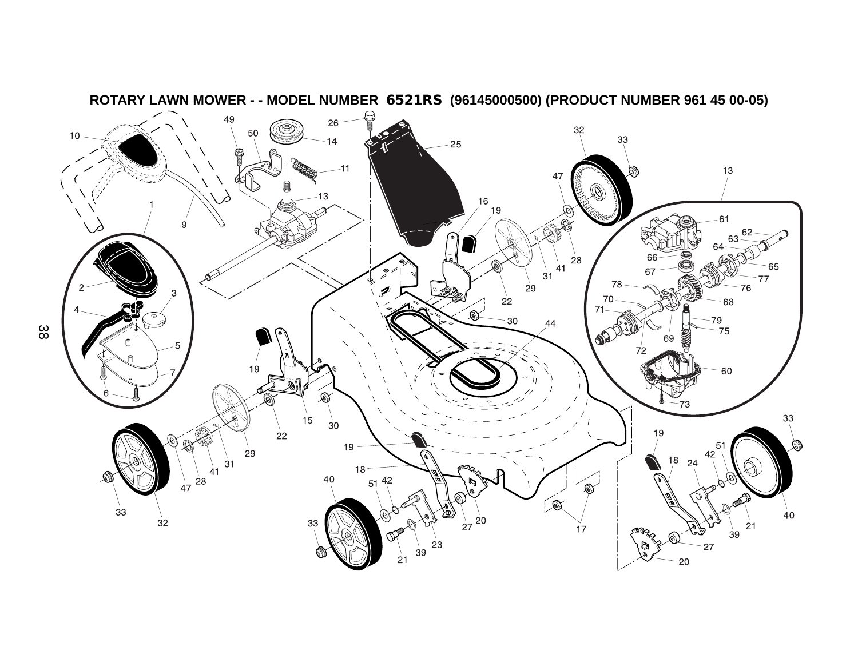

**ROTARY LAWN MOWER - - MODEL NUMBER 6521RS (96145000500) (PRODUCT NUMBER 961 45 00-05)**

38